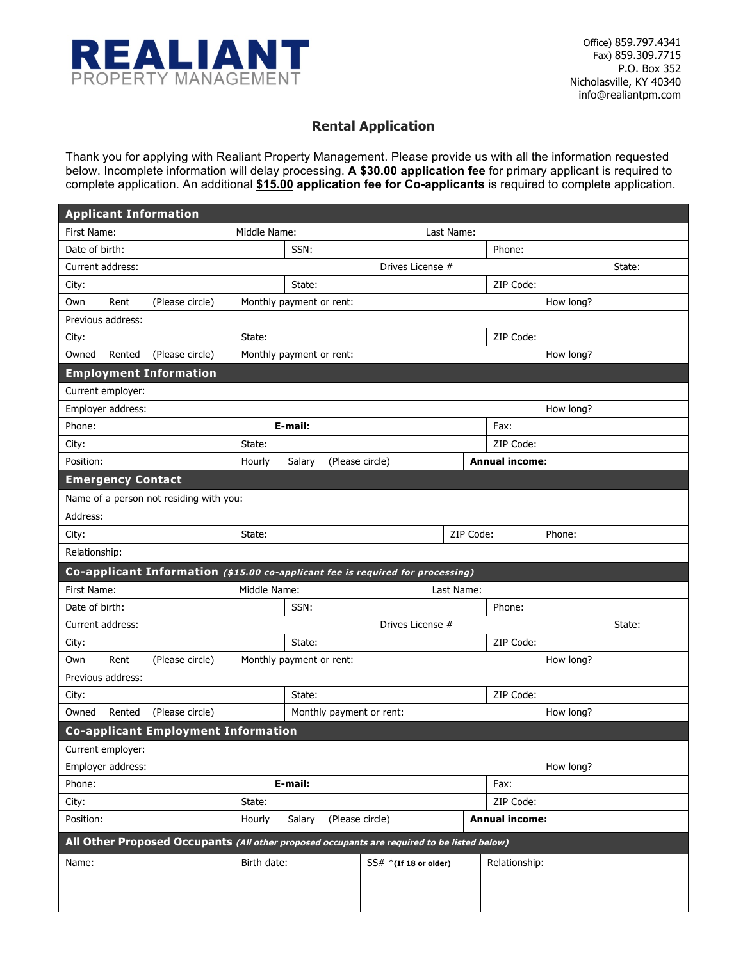

### **Rental Application**

Thank you for applying with Realiant Property Management. Please provide us with all the information requested below. Incomplete information will delay processing. **A \$30.00 application fee** for primary applicant is required to complete application. An additional **\$15.00 application fee for Co-applicants** is required to complete application.

|                   | <b>Applicant Information</b>                                                                |              |                           |                          |            |                       |           |
|-------------------|---------------------------------------------------------------------------------------------|--------------|---------------------------|--------------------------|------------|-----------------------|-----------|
| First Name:       |                                                                                             | Middle Name: |                           |                          | Last Name: |                       |           |
| Date of birth:    |                                                                                             |              | SSN:                      |                          |            | Phone:                |           |
| Current address:  |                                                                                             |              |                           | Drives License #         |            |                       | State:    |
| City:             |                                                                                             |              | State:                    |                          |            | ZIP Code:             |           |
| Own<br>Rent       | (Please circle)                                                                             |              | Monthly payment or rent:  |                          |            |                       | How long? |
| Previous address: |                                                                                             |              |                           |                          |            |                       |           |
| City:             |                                                                                             | State:       |                           |                          |            | ZIP Code:             |           |
| Owned             | Rented<br>(Please circle)                                                                   |              | Monthly payment or rent:  |                          |            |                       | How long? |
|                   | <b>Employment Information</b>                                                               |              |                           |                          |            |                       |           |
| Current employer: |                                                                                             |              |                           |                          |            |                       |           |
| Employer address: |                                                                                             |              |                           |                          |            |                       | How long? |
| Phone:            |                                                                                             |              | E-mail:                   |                          |            | Fax:                  |           |
| City:             |                                                                                             | State:       |                           |                          |            | ZIP Code:             |           |
| Position:         |                                                                                             | Hourly       | Salary<br>(Please circle) |                          |            | <b>Annual income:</b> |           |
|                   | <b>Emergency Contact</b>                                                                    |              |                           |                          |            |                       |           |
|                   | Name of a person not residing with you:                                                     |              |                           |                          |            |                       |           |
| Address:          |                                                                                             |              |                           |                          |            |                       |           |
| City:             |                                                                                             | State:       |                           |                          | ZIP Code:  |                       | Phone:    |
| Relationship:     |                                                                                             |              |                           |                          |            |                       |           |
|                   | Co-applicant Information (\$15.00 co-applicant fee is required for processing)              |              |                           |                          |            |                       |           |
| First Name:       |                                                                                             | Middle Name: |                           |                          | Last Name: |                       |           |
| Date of birth:    |                                                                                             |              | SSN:                      |                          |            | Phone:                |           |
| Current address:  |                                                                                             |              |                           | Drives License #         |            |                       | State:    |
| City:             |                                                                                             |              | State:                    |                          |            | ZIP Code:             |           |
| Own<br>Rent       | (Please circle)                                                                             |              | Monthly payment or rent:  |                          |            |                       | How long? |
| Previous address: |                                                                                             |              |                           |                          |            |                       |           |
| City:             |                                                                                             |              | State:                    |                          |            | ZIP Code:             |           |
|                   |                                                                                             |              |                           |                          |            |                       |           |
| Owned             | Rented<br>(Please circle)                                                                   |              | Monthly payment or rent:  |                          |            |                       | How long? |
|                   | <b>Co-applicant Employment Information</b>                                                  |              |                           |                          |            |                       |           |
| Current employer: |                                                                                             |              |                           |                          |            |                       |           |
| Employer address: |                                                                                             |              |                           |                          |            |                       | How long? |
| Phone:            |                                                                                             |              | E-mail:                   |                          |            | Fax:                  |           |
| City:             |                                                                                             | State:       |                           |                          |            | ZIP Code:             |           |
| Position:         |                                                                                             | Hourly       | (Please circle)<br>Salary |                          |            | <b>Annual income:</b> |           |
|                   | All Other Proposed Occupants (All other proposed occupants are required to be listed below) |              |                           |                          |            |                       |           |
| Name:             |                                                                                             | Birth date:  |                           | $SS# * (If 18 or older)$ |            | Relationship:         |           |
|                   |                                                                                             |              |                           |                          |            |                       |           |
|                   |                                                                                             |              |                           |                          |            |                       |           |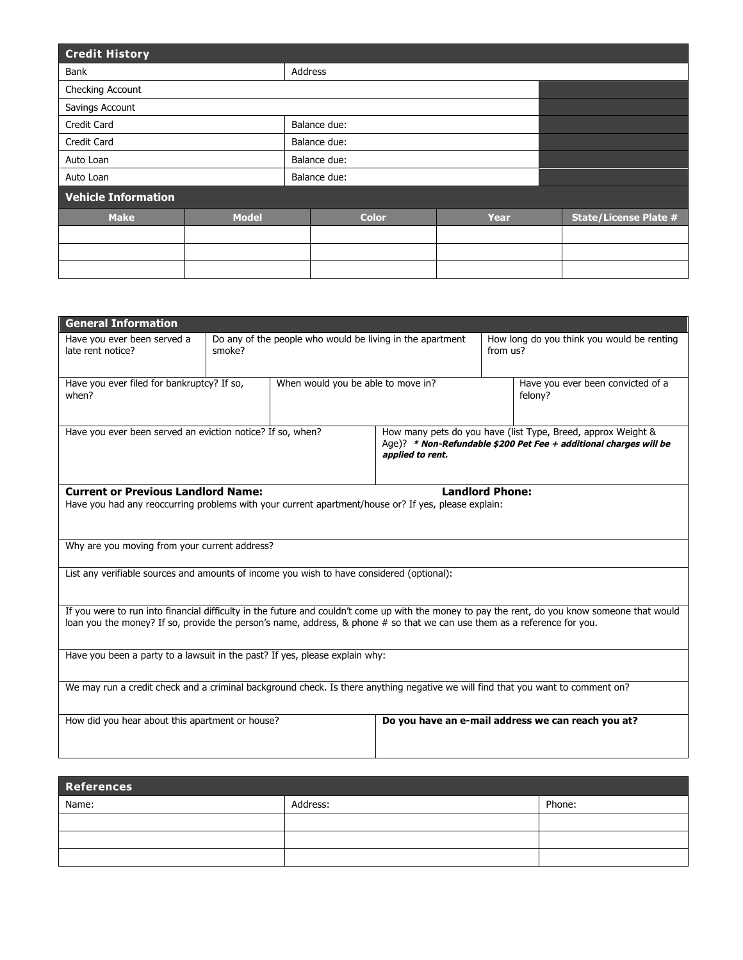| <b>Credit History</b>      |              |              |             |                              |  |  |
|----------------------------|--------------|--------------|-------------|------------------------------|--|--|
| Bank                       |              | Address      |             |                              |  |  |
| Checking Account           |              |              |             |                              |  |  |
| Savings Account            |              |              |             |                              |  |  |
| <b>Credit Card</b>         |              | Balance due: |             |                              |  |  |
| <b>Credit Card</b>         |              | Balance due: |             |                              |  |  |
| Auto Loan                  |              | Balance due: |             |                              |  |  |
| Auto Loan                  |              | Balance due: |             |                              |  |  |
| <b>Vehicle Information</b> |              |              |             |                              |  |  |
| <b>Make</b>                | <b>Model</b> | <b>Color</b> | <b>Year</b> | <b>State/License Plate #</b> |  |  |
|                            |              |              |             |                              |  |  |
|                            |              |              |             |                              |  |  |
|                            |              |              |             |                              |  |  |

| <b>General Information</b>                                                                                                                                                                                                                                                 |                                                                     |                                                                                                                                                       |  |                                                        |                                              |
|----------------------------------------------------------------------------------------------------------------------------------------------------------------------------------------------------------------------------------------------------------------------------|---------------------------------------------------------------------|-------------------------------------------------------------------------------------------------------------------------------------------------------|--|--------------------------------------------------------|----------------------------------------------|
| Have you ever been served a<br>late rent notice?                                                                                                                                                                                                                           | Do any of the people who would be living in the apartment<br>smoke? |                                                                                                                                                       |  | How long do you think you would be renting<br>from us? |                                              |
| When would you be able to move in?<br>Have you ever filed for bankruptcy? If so,<br>when?                                                                                                                                                                                  |                                                                     |                                                                                                                                                       |  |                                                        | Have you ever been convicted of a<br>felony? |
| Have you ever been served an eviction notice? If so, when?                                                                                                                                                                                                                 |                                                                     | How many pets do you have (list Type, Breed, approx Weight &<br>Age)? * Non-Refundable \$200 Pet Fee + additional charges will be<br>applied to rent. |  |                                                        |                                              |
| <b>Current or Previous Landlord Name:</b><br><b>Landlord Phone:</b><br>Have you had any reoccurring problems with your current apartment/house or? If yes, please explain:                                                                                                 |                                                                     |                                                                                                                                                       |  |                                                        |                                              |
| Why are you moving from your current address?                                                                                                                                                                                                                              |                                                                     |                                                                                                                                                       |  |                                                        |                                              |
| List any verifiable sources and amounts of income you wish to have considered (optional):                                                                                                                                                                                  |                                                                     |                                                                                                                                                       |  |                                                        |                                              |
| If you were to run into financial difficulty in the future and couldn't come up with the money to pay the rent, do you know someone that would<br>loan you the money? If so, provide the person's name, address, & phone # so that we can use them as a reference for you. |                                                                     |                                                                                                                                                       |  |                                                        |                                              |
| Have you been a party to a lawsuit in the past? If yes, please explain why:                                                                                                                                                                                                |                                                                     |                                                                                                                                                       |  |                                                        |                                              |
| We may run a credit check and a criminal background check. Is there anything negative we will find that you want to comment on?                                                                                                                                            |                                                                     |                                                                                                                                                       |  |                                                        |                                              |
| How did you hear about this apartment or house?                                                                                                                                                                                                                            |                                                                     |                                                                                                                                                       |  | Do you have an e-mail address we can reach you at?     |                                              |

| References |          |        |  |  |  |
|------------|----------|--------|--|--|--|
| Name:      | Address: | Phone: |  |  |  |
|            |          |        |  |  |  |
|            |          |        |  |  |  |
|            |          |        |  |  |  |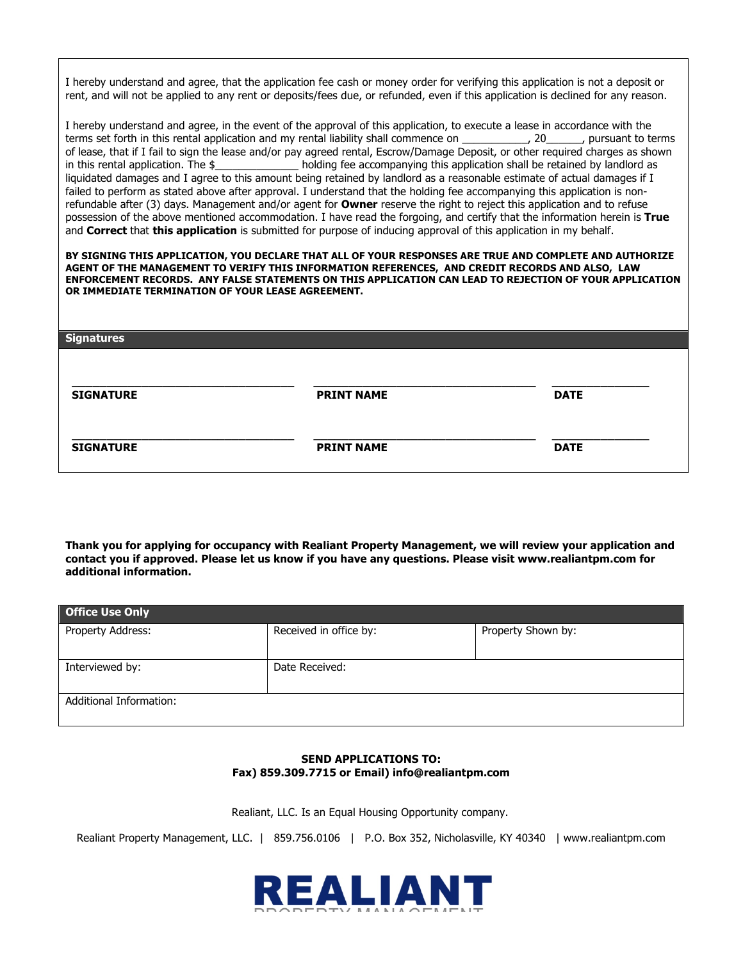I hereby understand and agree, that the application fee cash or money order for verifying this application is not a deposit or rent, and will not be applied to any rent or deposits/fees due, or refunded, even if this application is declined for any reason.

I hereby understand and agree, in the event of the approval of this application, to execute a lease in accordance with the terms set forth in this rental application and my rental liability shall commence on \_\_\_\_\_\_\_\_\_\_\_, 20\_\_\_\_\_\_, pursuant to terms of lease, that if I fail to sign the lease and/or pay agreed rental, Escrow/Damage Deposit, or other required charges as shown in this rental application. The  $\frac{1}{2}$  holding fee accompanying this application shall be retained by landlord as liquidated damages and I agree to this amount being retained by landlord as a reasonable estimate of actual damages if I failed to perform as stated above after approval. I understand that the holding fee accompanying this application is nonrefundable after (3) days. Management and/or agent for **Owner** reserve the right to reject this application and to refuse possession of the above mentioned accommodation. I have read the forgoing, and certify that the information herein is **True** and **Correct** that **this application** is submitted for purpose of inducing approval of this application in my behalf.

**BY SIGNING THIS APPLICATION, YOU DECLARE THAT ALL OF YOUR RESPONSES ARE TRUE AND COMPLETE AND AUTHORIZE AGENT OF THE MANAGEMENT TO VERIFY THIS INFORMATION REFERENCES, AND CREDIT RECORDS AND ALSO, LAW ENFORCEMENT RECORDS. ANY FALSE STATEMENTS ON THIS APPLICATION CAN LEAD TO REJECTION OF YOUR APPLICATION OR IMMEDIATE TERMINATION OF YOUR LEASE AGREEMENT.**

| <b>Signatures</b> |                   |             |
|-------------------|-------------------|-------------|
| <b>SIGNATURE</b>  | <b>PRINT NAME</b> | <b>DATE</b> |
| <b>SIGNATURE</b>  | <b>PRINT NAME</b> | <b>DATE</b> |

**Thank you for applying for occupancy with Realiant Property Management, we will review your application and contact you if approved. Please let us know if you have any questions. Please visit www.realiantpm.com for additional information.**

| <b>Office Use Only</b>  |                        |                    |  |  |  |
|-------------------------|------------------------|--------------------|--|--|--|
| Property Address:       | Received in office by: | Property Shown by: |  |  |  |
|                         |                        |                    |  |  |  |
| Interviewed by:         | Date Received:         |                    |  |  |  |
|                         |                        |                    |  |  |  |
| Additional Information: |                        |                    |  |  |  |
|                         |                        |                    |  |  |  |

#### **SEND APPLICATIONS TO: Fax) 859.309.7715 or Email) info@realiantpm.com**

Realiant, LLC. Is an Equal Housing Opportunity company.

Realiant Property Management, LLC. | 859.756.0106 | P.O. Box 352, Nicholasville, KY 40340 | www.realiantpm.com

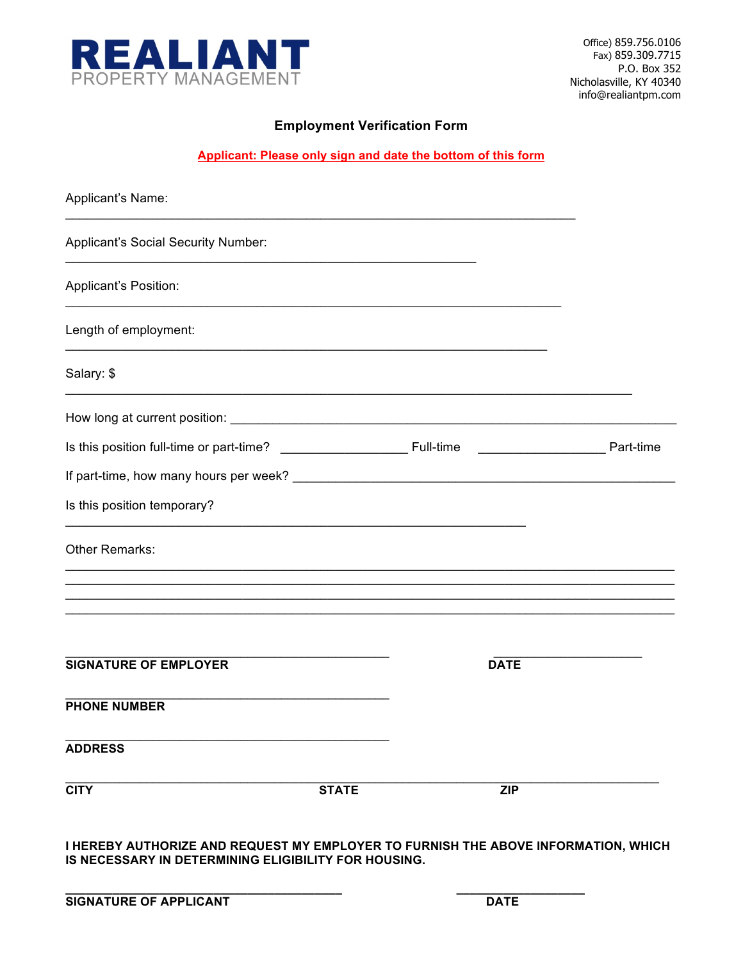

### **Employment Verification Form**

**Applicant: Please only sign and date the bottom of this form**

| Applicant's Name:                   |              |             |                  |
|-------------------------------------|--------------|-------------|------------------|
| Applicant's Social Security Number: |              |             |                  |
| Applicant's Position:               |              |             |                  |
| Length of employment:               |              |             |                  |
| Salary: \$                          |              |             |                  |
|                                     |              |             |                  |
|                                     |              |             | <b>Part-time</b> |
|                                     |              |             |                  |
| Is this position temporary?         |              |             |                  |
| Other Remarks:                      |              |             |                  |
|                                     |              |             |                  |
| <b>SIGNATURE OF EMPLOYER</b>        |              | <b>DATE</b> |                  |
| <b>PHONE NUMBER</b>                 |              |             |                  |
| <b>ADDRESS</b>                      |              |             |                  |
| <b>CITY</b>                         | <b>STATE</b> | <b>ZIP</b>  |                  |

**I HEREBY AUTHORIZE AND REQUEST MY EMPLOYER TO FURNISH THE ABOVE INFORMATION, WHICH IS NECESSARY IN DETERMINING ELIGIBILITY FOR HOUSING.**

**\_\_\_\_\_\_\_\_\_\_\_\_\_\_\_\_\_\_\_\_\_\_\_\_\_\_\_\_\_\_\_\_\_\_\_\_\_\_\_\_\_ \_\_\_\_\_\_\_\_\_\_\_\_\_\_\_\_\_\_\_**

| <b>SIGNATURE OF APPLICANT</b> | <b>DATE</b> |  |
|-------------------------------|-------------|--|
|                               |             |  |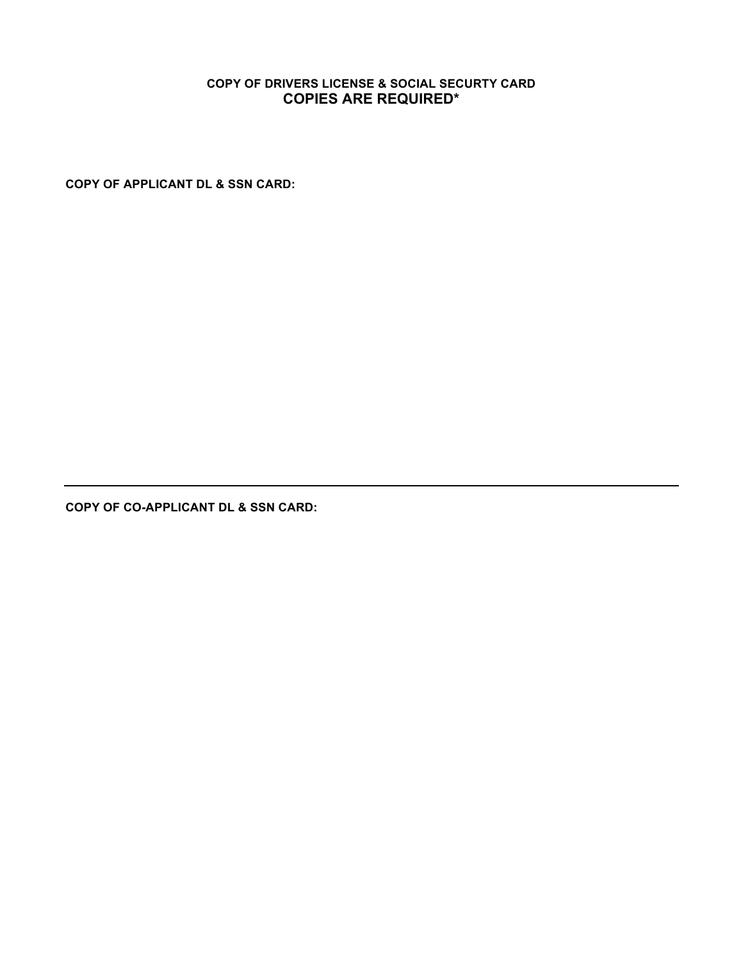# **COPY OF DRIVERS LICENSE & SOCIAL SECURTY CARD COPIES ARE REQUIRED\***

**COPY OF APPLICANT DL & SSN CARD:**

**COPY OF CO-APPLICANT DL & SSN CARD:**